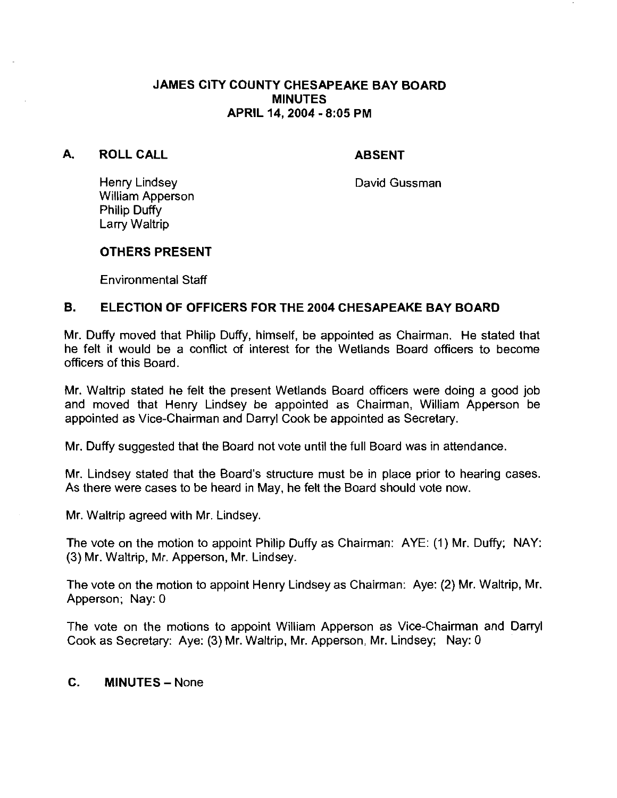#### JAMES CITY COUNTY CHESAPEAKE BAY BOARD MINUTES APRIL **14,2004** - **8:05** PM

# A. ROLLCALL

# ABSENT

Henry Lindsey William Apperson Philip Duffy Larry Waltrip

David Gussman

#### **OTHERS PRESENT**

Environmental Staff

# B. ELECTION OF OFFICERS FOR THE **2004** CHESAPEAKE BAY BOARD

Mr. Duffy moved that Philip Duffy, himself, be appointed as Chairman. He stated that he felt it would be a conflict of interest for the Wetlands Board officers to become officers of this Board.

Mr. Waltrip stated he felt the present Wetlands Board officers were doing a good job and moved that Henry Lindsey be appointed as Chairman, William Apperson be appointed as Vice-Chairman and Darryl Cook be appointed as Secretary.

Mr. Duffy suggested that the Board not vote until the full Board was in attendance.

Mr. Lindsey stated that the Board's structure must be in place prior to hearing cases. As there were cases to be heard in May, he felt the Board should vote now.

Mr. Waltrip agreed with Mr. Lindsey.

The vote on the motion to appoint Philip Duffy as Chairman:  $AYE: (1)$  Mr. Duffy; NAY: (3) Mr. Waltrip, Mr. Apperson, Mr. Lindsey.

The vote on the motion to appoint Henry Lindsey as Chairman: Aye: (2) Mr. Waltrip, Mr. Apperson; Nay: 0

The vote on the motions to appoint William Apperson as Vice-Chairman and Darryl Cook as Secretary: Aye: (3) Mr. Waltrip, Mr. Apperson, Mr. Lindsey; Nay: 0

# C. MINUTES - None